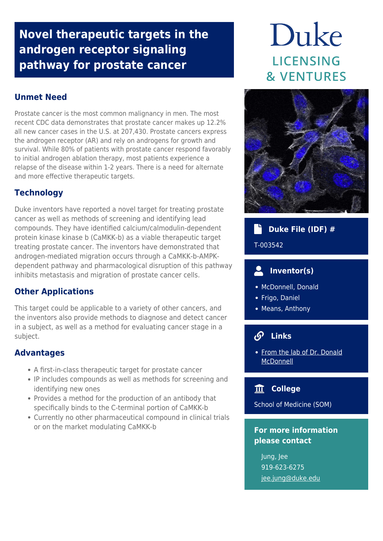# **Novel therapeutic targets in the androgen receptor signaling pathway for prostate cancer**

# **Unmet Need**

Prostate cancer is the most common malignancy in men. The most recent CDC data demonstrates that prostate cancer makes up 12.2% all new cancer cases in the U.S. at 207,430. Prostate cancers express the androgen receptor (AR) and rely on androgens for growth and survival. While 80% of patients with prostate cancer respond favorably to initial androgen ablation therapy, most patients experience a relapse of the disease within 1-2 years. There is a need for alternate and more effective therapeutic targets.

# **Technology**

Duke inventors have reported a novel target for treating prostate cancer as well as methods of screening and identifying lead compounds. They have identified calcium/calmodulin-dependent protein kinase kinase b (CaMKK-b) as a viable therapeutic target treating prostate cancer. The inventors have demonstrated that androgen-mediated migration occurs through a CaMKK-b-AMPKdependent pathway and pharmacological disruption of this pathway inhibits metastasis and migration of prostate cancer cells.

# **Other Applications**

This target could be applicable to a variety of other cancers, and the inventors also provide methods to diagnose and detect cancer in a subject, as well as a method for evaluating cancer stage in a subject.

# **Advantages**

- A first-in-class therapeutic target for prostate cancer
- IP includes compounds as well as methods for screening and identifying new ones
- Provides a method for the production of an antibody that specifically binds to the C-terminal portion of CaMKK-b
- Currently no other pharmaceutical compound in clinical trials or on the market modulating CaMKK-b

# Duke LICENSING **& VENTURES**



# **Duke File (IDF) #**

T-003542

# **Inventor(s)**

- McDonnell, Donald
- Frigo, Daniel
- Means, Anthony

#### டு  **Links**

• [From the lab of Dr. Donald](https://scholars.duke.edu/person/donald.mcdonnell) [McDonnell](https://scholars.duke.edu/person/donald.mcdonnell)

# **College**

School of Medicine (SOM)

# **For more information please contact**

Jung, Jee 919-623-6275 [jee.jung@duke.edu](mailto:jee.jung@duke.edu)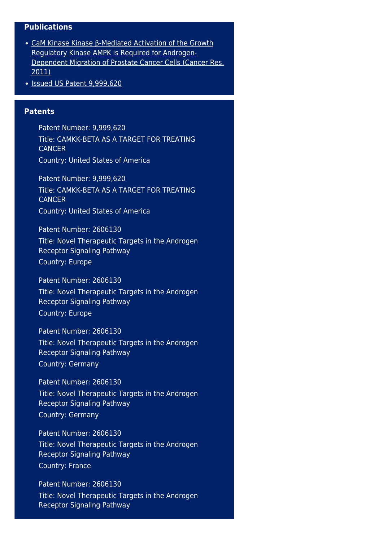#### **Publications**

- [CaM Kinase Kinase β-Mediated Activation of the Growth](https://www.ncbi.nlm.nih.gov/pmc/articles/PMC3074523/) [Regulatory Kinase AMPK is Required for Androgen-](https://www.ncbi.nlm.nih.gov/pmc/articles/PMC3074523/)[Dependent Migration of Prostate Cancer Cells \(Cancer Res,](https://www.ncbi.nlm.nih.gov/pmc/articles/PMC3074523/) [2011\)](https://www.ncbi.nlm.nih.gov/pmc/articles/PMC3074523/)
- $\bullet$  [Issued US Patent 9,999,620](https://patents.google.com/patent/US9999620B2/en?oq=+9%2c999%2c620)

### **Patents**

Patent Number: 9,999,620 Title: CAMKK-BETA AS A TARGET FOR TREATING **CANCER** Country: United States of America

Patent Number: 9,999,620 Title: CAMKK-BETA AS A TARGET FOR TREATING **CANCER** Country: United States of America

Patent Number: 2606130 Title: Novel Therapeutic Targets in the Androgen Receptor Signaling Pathway Country: Europe

Patent Number: 2606130 Title: Novel Therapeutic Targets in the Androgen Receptor Signaling Pathway Country: Europe

Patent Number: 2606130 Title: Novel Therapeutic Targets in the Androgen Receptor Signaling Pathway Country: Germany

Patent Number: 2606130 Title: Novel Therapeutic Targets in the Androgen Receptor Signaling Pathway Country: Germany

Patent Number: 2606130 Title: Novel Therapeutic Targets in the Androgen Receptor Signaling Pathway Country: France

Patent Number: 2606130 Title: Novel Therapeutic Targets in the Androgen Receptor Signaling Pathway